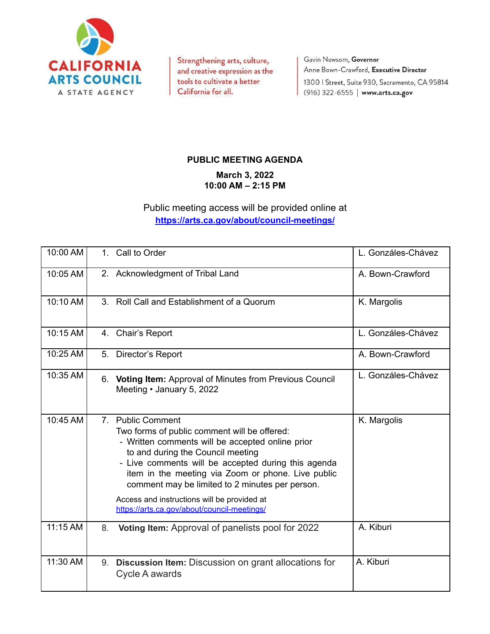

Strengthening arts, culture, and creative expression as the tools to cultivate a better California for all.

Gavin Newsom, Governor Anne Bown-Crawford, Executive Director 1300 | Street, Suite 930, Sacramento, CA 95814 (916) 322-6555 | www.arts.ca.gov

## **PUBLIC MEETING AGENDA**

**March 3, 2022 10:00 AM – 2:15 PM**

Public meeting access will be provided online at **<https://arts.ca.gov/about/council-meetings/>**

| 10:00 AM |    | 1. Call to Order                                                                                                                                                                                                                                                                                                                                                                                                         | L. Gonzáles-Chávez |
|----------|----|--------------------------------------------------------------------------------------------------------------------------------------------------------------------------------------------------------------------------------------------------------------------------------------------------------------------------------------------------------------------------------------------------------------------------|--------------------|
| 10:05 AM |    | 2. Acknowledgment of Tribal Land                                                                                                                                                                                                                                                                                                                                                                                         | A. Bown-Crawford   |
| 10:10 AM |    | 3. Roll Call and Establishment of a Quorum                                                                                                                                                                                                                                                                                                                                                                               | K. Margolis        |
| 10:15 AM |    | 4. Chair's Report                                                                                                                                                                                                                                                                                                                                                                                                        | L. Gonzáles-Chávez |
| 10:25 AM |    | 5. Director's Report                                                                                                                                                                                                                                                                                                                                                                                                     | A. Bown-Crawford   |
| 10:35 AM |    | 6. Voting Item: Approval of Minutes from Previous Council<br>Meeting • January 5, 2022                                                                                                                                                                                                                                                                                                                                   | L. Gonzáles-Chávez |
| 10:45 AM |    | 7. Public Comment<br>Two forms of public comment will be offered:<br>- Written comments will be accepted online prior<br>to and during the Council meeting<br>- Live comments will be accepted during this agenda<br>item in the meeting via Zoom or phone. Live public<br>comment may be limited to 2 minutes per person.<br>Access and instructions will be provided at<br>https://arts.ca.gov/about/council-meetings/ | K. Margolis        |
| 11:15 AM | 8. | Voting Item: Approval of panelists pool for 2022                                                                                                                                                                                                                                                                                                                                                                         | A. Kiburi          |
| 11:30 AM | 9. | Discussion Item: Discussion on grant allocations for<br>Cycle A awards                                                                                                                                                                                                                                                                                                                                                   | A. Kiburi          |